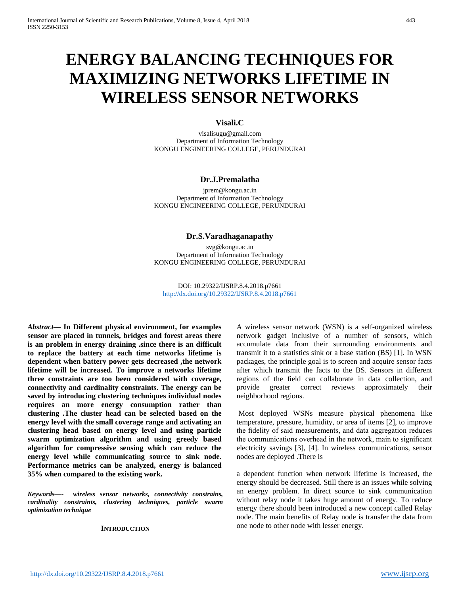# **ENERGY BALANCING TECHNIQUES FOR MAXIMIZING NETWORKS LIFETIME IN WIRELESS SENSOR NETWORKS**

## **Visali.C**

visalisugu@gmail.com Department of Information Technology KONGU ENGINEERING COLLEGE, PERUNDURAI

# **Dr.J.Premalatha**

jprem@kongu.ac.in Department of Information Technology KONGU ENGINEERING COLLEGE, PERUNDURAI

## **Dr.S.Varadhaganapathy**

svg@kongu.ac.in Department of Information Technology KONGU ENGINEERING COLLEGE, PERUNDURAI

DOI: 10.29322/IJSRP.8.4.2018.p7661 <http://dx.doi.org/10.29322/IJSRP.8.4.2018.p7661>

*Abstract*— **In Different physical environment, for examples sensor are placed in tunnels, bridges and forest areas there is an problem in energy draining .since there is an difficult to replace the battery at each time networks lifetime is dependent when battery power gets decreased ,the network lifetime will be increased. To improve a networks lifetime three constraints are too been considered with coverage, connectivity and cardinality constraints. The energy can be saved by introducing clustering techniques individual nodes requires an more energy consumption rather than clustering .The cluster head can be selected based on the energy level with the small coverage range and activating an clustering head based on energy level and using particle swarm optimization algorithm and using greedy based algorithm for compressive sensing which can reduce the energy level while communicating source to sink node. Performance metrics can be analyzed, energy is balanced 35% when compared to the existing work.**

*Keywords—- wireless sensor networks, connectivity constrains, cardinality constraints, clustering techniques, particle swarm optimization technique*

#### **INTRODUCTION**

A wireless sensor network (WSN) is a self-organized wireless network gadget inclusive of a number of sensors, which accumulate data from their surrounding environments and transmit it to a statistics sink or a base station (BS) [1]. In WSN packages, the principle goal is to screen and acquire sensor facts after which transmit the facts to the BS. Sensors in different regions of the field can collaborate in data collection, and provide greater correct reviews approximately their neighborhood regions.

Most deployed WSNs measure physical phenomena like temperature, pressure, humidity, or area of items [2], to improve the fidelity of said measurements, and data aggregation reduces the communications overhead in the network, main to significant electricity savings [3], [4]. In wireless communications, sensor nodes are deployed .There is

a dependent function when network lifetime is increased, the energy should be decreased. Still there is an issues while solving an energy problem. In direct source to sink communication without relay node it takes huge amount of energy. To reduce energy there should been introduced a new concept called Relay node. The main benefits of Relay node is transfer the data from one node to other node with lesser energy.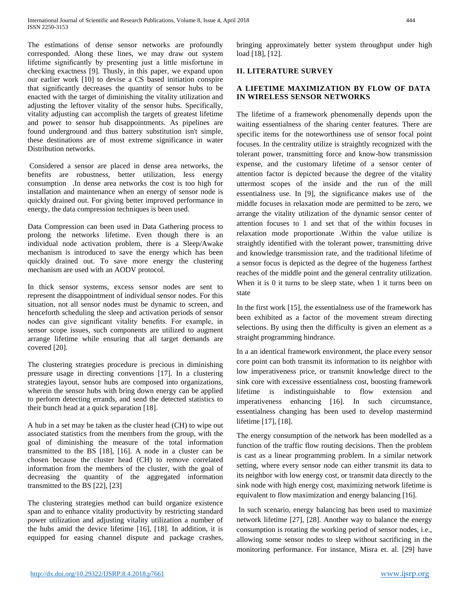The estimations of dense sensor networks are profoundly corresponded. Along these lines, we may draw out system lifetime significantly by presenting just a little misfortune in checking exactness [9]. Thusly, in this paper, we expand upon our earlier work [10] to devise a CS based initiation conspire that significantly decreases the quantity of sensor hubs to be enacted with the target of diminishing the vitality utilization and adjusting the leftover vitality of the sensor hubs. Specifically, vitality adjusting can accomplish the targets of greatest lifetime and power to sensor hub disappointments. As pipelines are found underground and thus battery substitution isn't simple, these destinations are of most extreme significance in water Distribution networks.

Considered a sensor are placed in dense area networks, the benefits are robustness, better utilization, less energy consumption .In dense area networks the cost is too high for installation and maintenance when an energy of sensor node is quickly drained out. For giving better improved performance in energy, the data compression techniques is been used.

Data Compression can been used in Data Gathering process to prolong the networks lifetime. Even though there is an individual node activation problem, there is a Sleep/Awake mechanism is introduced to save the energy which has been quickly drained out. To save more energy the clustering mechanism are used with an AODV protocol.

In thick sensor systems, excess sensor nodes are sent to represent the disappointment of individual sensor nodes. For this situation, not all sensor nodes must be dynamic to screen, and henceforth scheduling the sleep and activation periods of sensor nodes can give significant vitality benefits. For example, in sensor scope issues, such components are utilized to augment arrange lifetime while ensuring that all target demands are covered [20].

The clustering strategies procedure is precious in diminishing pressure usage in directing conventions [17]. In a clustering strategies layout, sensor hubs are composed into organizations, wherein the sensor hubs with bring down energy can be applied to perform detecting errands, and send the detected statistics to their bunch head at a quick separation [18].

A hub in a set may be taken as the cluster head (CH) to wipe out associated statistics from the members from the group, with the goal of diminishing the measure of the total information transmitted to the BS [18], [16]. A node in a cluster can be chosen because the cluster head (CH) to remove correlated information from the members of the cluster, with the goal of decreasing the quantity of the aggregated information transmitted to the BS [22], [23]

The clustering strategies method can build organize existence span and to enhance vitality productivity by restricting standard power utilization and adjusting vitality utilization a number of the hubs amid the device lifetime [16], [18]. In addition, it is equipped for easing channel dispute and package crashes,

bringing approximately better system throughput under high load [18], [12].

## **II. LITERATURE SURVEY**

# **A LIFETIME MAXIMIZATION BY FLOW OF DATA IN WIRELESS SENSOR NETWORKS**

The lifetime of a framework phenomenally depends upon the waiting essentialness of the sharing center features. There are specific items for the noteworthiness use of sensor focal point focuses. In the centrality utilize is straightly recognized with the tolerant power, transmitting force and know-how transmission expense, and the customary lifetime of a sensor center of attention factor is depicted because the degree of the vitality uttermost scopes of the inside and the run of the mill essentialness use. In [9], the significance makes use of the middle focuses in relaxation mode are permitted to be zero, we arrange the vitality utilization of the dynamic sensor center of attention focuses to 1 and set that of the within focuses in relaxation mode proportionate .Within the value utilize is straightly identified with the tolerant power, transmitting drive and knowledge transmission rate, and the traditional lifetime of a sensor focus is depicted as the degree of the hugeness farthest reaches of the middle point and the general centrality utilization. When it is 0 it turns to be sleep state, when 1 it turns been on state

In the first work [15], the essentialness use of the framework has been exhibited as a factor of the movement stream directing selections. By using then the difficulty is given an element as a straight programming hindrance.

In a an identical framework environment, the place every sensor core point can both transmit its information to its neighbor with low imperativeness price, or transmit knowledge direct to the sink core with excessive essentialness cost, boosting framework lifetime is indistinguishable to flow extension and imperativeness enhancing [16]. In such circumstance, essentialness changing has been used to develop mastermind lifetime [17], [18].

The energy consumption of the network has been modelled as a function of the traffic flow routing decisions. Then the problem is cast as a linear programming problem. In a similar network setting, where every sensor node can either transmit its data to its neighbor with low energy cost, or transmit data directly to the sink node with high energy cost, maximizing network lifetime is equivalent to flow maximization and energy balancing [16].

In such scenario, energy balancing has been used to maximize network lifetime [27], [28]. Another way to balance the energy consumption is rotating the working period of sensor nodes, i.e., allowing some sensor nodes to sleep without sacrificing in the monitoring performance. For instance, Misra et. al. [29] have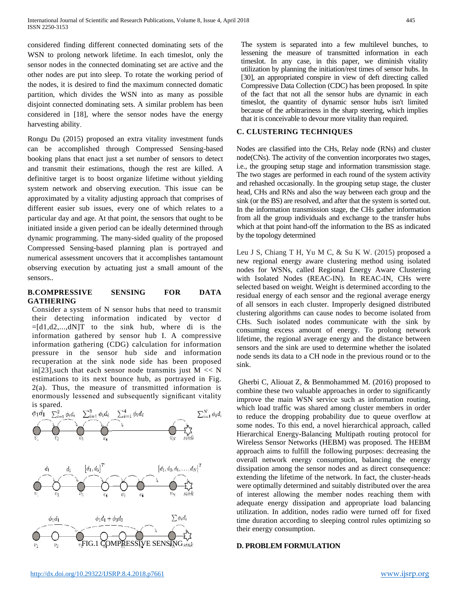considered finding different connected dominating sets of the WSN to prolong network lifetime. In each timeslot, only the sensor nodes in the connected dominating set are active and the other nodes are put into sleep. To rotate the working period of the nodes, it is desired to find the maximum connected domatic partition, which divides the WSN into as many as possible disjoint connected dominating sets. A similar problem has been considered in [18], where the sensor nodes have the energy harvesting ability.

Rongu Du (2015) proposed an extra vitality investment funds can be accomplished through Compressed Sensing-based booking plans that enact just a set number of sensors to detect and transmit their estimations, though the rest are killed. A definitive target is to boost organize lifetime without yielding system network and observing execution. This issue can be approximated by a vitality adjusting approach that comprises of different easier sub issues, every one of which relates to a particular day and age. At that point, the sensors that ought to be initiated inside a given period can be ideally determined through dynamic programming. The many-sided quality of the proposed Compressed Sensing-based planning plan is portrayed and numerical assessment uncovers that it accomplishes tantamount observing execution by actuating just a small amount of the sensors..

## **B.COMPRESSIVE SENSING FOR DATA GATHERING**

Consider a system of N sensor hubs that need to transmit their detecting information indicated by vector d  $=[d1,d2,...,dN]$ T to the sink hub, where di is the information gathered by sensor hub I. A compressive information gathering (CDG) calculation for information pressure in the sensor hub side and information recuperation at the sink node side has been proposed in[23], such that each sensor node transmits just  $M \ll N$ estimations to its next bounce hub, as portrayed in Fig.  $2(a)$ . Thus, the measure of transmitted information is enormously lessened and subsequently significant vitality is spared.



The system is separated into a few multilevel bunches, to lessening the measure of transmitted information in each timeslot. In any case, in this paper, we diminish vitality utilization by planning the initiation/rest times of sensor hubs. In [30], an appropriated conspire in view of deft directing called Compressive Data Collection (CDC) has been proposed. In spite of the fact that not all the sensor hubs are dynamic in each timeslot, the quantity of dynamic sensor hubs isn't limited because of the arbitrariness in the sharp steering, which implies that it is conceivable to devour more vitality than required.

## **C. CLUSTERING TECHNIQUES**

Nodes are classified into the CHs, Relay node (RNs) and cluster node(CNs). The activity of the convention incorporates two stages, i.e., the grouping setup stage and information transmission stage. The two stages are performed in each round of the system activity and rehashed occasionally. In the grouping setup stage, the cluster head, CHs and RNs and also the way between each group and the sink (or the BS) are resolved, and after that the system is sorted out. In the information transmission stage, the CHs gather information from all the group individuals and exchange to the transfer hubs which at that point hand-off the information to the BS as indicated by the topology determined

Leu J S, Chiang T H, Yu M C, & Su K W. (2015) proposed a new regional energy aware clustering method using isolated nodes for WSNs, called Regional Energy Aware Clustering with Isolated Nodes (REAC-IN). In REAC-IN, CHs were selected based on weight. Weight is determined according to the residual energy of each sensor and the regional average energy of all sensors in each cluster. Improperly designed distributed clustering algorithms can cause nodes to become isolated from CHs. Such isolated nodes communicate with the sink by consuming excess amount of energy. To prolong network lifetime, the regional average energy and the distance between sensors and the sink are used to determine whether the isolated node sends its data to a CH node in the previous round or to the sink.

Gherbi C, Aliouat Z, & Benmohammed M. (2016) proposed to combine these two valuable approaches in order to significantly improve the main WSN service such as information routing, which load traffic was shared among cluster members in order to reduce the dropping probability due to queue overflow at some nodes. To this end, a novel hierarchical approach, called Hierarchical Energy-Balancing Multipath routing protocol for Wireless Sensor Networks (HEBM) was proposed. The HEBM approach aims to fulfill the following purposes: decreasing the overall network energy consumption, balancing the energy dissipation among the sensor nodes and as direct consequence: extending the lifetime of the network. In fact, the cluster-heads were optimally determined and suitably distributed over the area of interest allowing the member nodes reaching them with adequate energy dissipation and appropriate load balancing utilization. In addition, nodes radio were turned off for fixed time duration according to sleeping control rules optimizing so their energy consumption.

## **D. PROBLEM FORMULATION**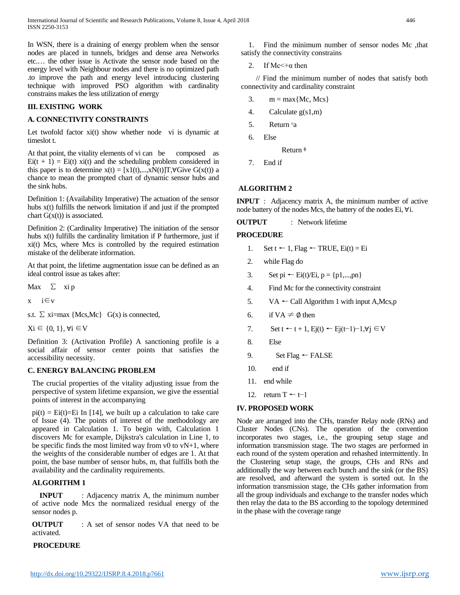In WSN, there is a draining of energy problem when the sensor nodes are placed in tunnels, bridges and dense area Networks etc.… the other issue is Activate the sensor node based on the energy level with Neighbour nodes and there is no optimized path .to improve the path and energy level introducing clustering technique with improved PSO algorithm with cardinality constrains makes the less utilization of energy

#### **III. EXISTING WORK**

#### **A. CONNECTIVITY CONSTRAINTS**

Let twofold factor  $xi(t)$  show whether node vi is dynamic at timeslot t.

At that point, the vitality elements of vi can be composed as  $Ei(t + 1) = Ei(t)$  xi(t) and the scheduling problem considered in this paper is to determine  $x(t) = [x1(t),...,xN(t)]T, \forall G$ ive  $G(x(t))$  a chance to mean the prompted chart of dynamic sensor hubs and the sink hubs.

Definition 1: (Availability Imperative) The actuation of the sensor hubs x(t) fulfills the network limitation if and just if the prompted chart  $G(x(t))$  is associated.

Definition 2: (Cardinality Imperative) The initiation of the sensor hubs x(t) fulfills the cardinality limitation if P furthermore, just if xi(t) Mcs, where Mcs is controlled by the required estimation mistake of the deliberate information.

At that point, the lifetime augmentation issue can be defined as an ideal control issue as takes after:

Max  $\Sigma$  xip

x i∈v

s.t.  $\Sigma$  xi=max {Mcs,Mc} G(x) is connected,

 $Xi \in \{0, 1\}, \forall i \in V$ 

Definition 3: (Activation Profile) A sanctioning profile is a social affair of sensor center points that satisfies the accessibility necessity.

#### **C. ENERGY BALANCING PROBLEM**

The crucial properties of the vitality adjusting issue from the perspective of system lifetime expansion, we give the essential points of interest in the accompanying

 $pi(t) = Ei(t)=Ei$  In [14], we built up a calculation to take care of Issue (4). The points of interest of the methodology are appeared in Calculation 1. To begin with, Calculation 1 discovers Mc for example, Dijkstra's calculation in Line 1, to be specific finds the most limited way from  $v0$  to  $vN+1$ , where the weights of the considerable number of edges are 1. At that point, the base number of sensor hubs, m, that fulfills both the availability and the cardinality requirements.

#### **ALGORITHM 1**

**INPUT** : Adjacency matrix A, the minimum number of active node Mcs the normalized residual energy of the sensor nodes p.

**OUTPUT** : A set of sensor nodes VA that need to be activated.

#### **PROCEDURE**

1. Find the minimum number of sensor nodes Mc ,that satisfy the connectivity constrains

2. If  $Mc \leftarrow \alpha$  then

 // Find the minimum number of nodes that satisfy both connectivity and cardinality constraint

- 3.  $m = max{Mc, Mcs}$
- 4. Calculate g(s1,m)
- 5. Return va
- 6. Else
	- Return  $\Phi$
- 7. End if

#### **ALGORITHM 2**

**INPUT** : Adjacency matrix A, the minimum number of active node battery of the nodes Mcs, the battery of the nodes Ei, ∀i.

**OUTPUT** : Network lifetime

#### **PROCEDURE**

- 1. Set t  $\leftarrow$  1, Flag  $\leftarrow$  TRUE, Ei(t) = Ei
- 2. while Flag do
- 3. Set pi ← Ei(t)/Ei,  $p = \{p1, \ldots, pn\}$
- 4. Find Mc for the connectivity constraint
- 5.  $VA \leftarrow$  Call Algorithm 1 with input A, Mcs, p
- 6. if  $VA \neq \emptyset$  then
- 7. Set t ← t + 1, Ej(t) ← Ej(t-1)-1, $\forall i \in V$
- 8. Else
- 9. Set Flag  $\leftarrow$  FALSE
- 10. end if
- 11. end while
- 12. return T ← t−1

#### **IV. PROPOSED WORK**

Node are arranged into the CHs, transfer Relay node (RNs) and Cluster Nodes (CNs). The operation of the convention incorporates two stages, i.e., the grouping setup stage and information transmission stage. The two stages are performed in each round of the system operation and rehashed intermittently. In the Clustering setup stage, the groups, CHs and RNs and additionally the way between each bunch and the sink (or the BS) are resolved, and afterward the system is sorted out. In the information transmission stage, the CHs gather information from all the group individuals and exchange to the transfer nodes which then relay the data to the BS according to the topology determined in the phase with the coverage range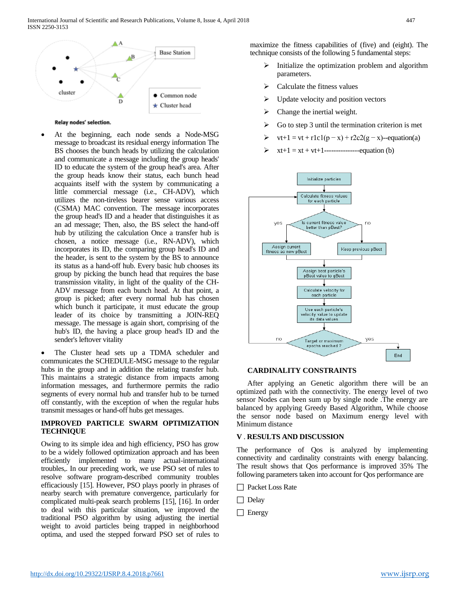

#### Relay nodes' selection.

At the beginning, each node sends a Node-MSG message to broadcast its residual energy information The BS chooses the bunch heads by utilizing the calculation and communicate a message including the group heads' ID to educate the system of the group head's area. After the group heads know their status, each bunch head acquaints itself with the system by communicating a little commercial message (i.e., CH-ADV), which utilizes the non-tireless bearer sense various access (CSMA) MAC convention. The message incorporates the group head's ID and a header that distinguishes it as an ad message; Then, also, the BS select the hand-off hub by utilizing the calculation Once a transfer hub is chosen, a notice message (i.e., RN-ADV), which incorporates its ID, the comparing group head's ID and the header, is sent to the system by the BS to announce its status as a hand-off hub. Every basic hub chooses its group by picking the bunch head that requires the base transmission vitality, in light of the quality of the CH-ADV message from each bunch head. At that point, a group is picked; after every normal hub has chosen which bunch it participate, it must educate the group leader of its choice by transmitting a JOIN-REQ message. The message is again short, comprising of the hub's ID, the having a place group head's ID and the sender's leftover vitality

The Cluster head sets up a TDMA scheduler and communicates the SCHEDULE-MSG message to the regular hubs in the group and in addition the relating transfer hub. This maintains a strategic distance from impacts among information messages, and furthermore permits the radio segments of every normal hub and transfer hub to be turned off constantly, with the exception of when the regular hubs transmit messages or hand-off hubs get messages.

#### **IMPROVED PARTICLE SWARM OPTIMIZATION TECHNIQUE**

Owing to its simple idea and high efficiency, PSO has grow to be a widely followed optimization approach and has been efficiently implemented to many actual-international troubles,. In our preceding work, we use PSO set of rules to resolve software program-described community troubles efficaciously [15]. However, PSO plays poorly in phrases of nearby search with premature convergence, particularly for complicated multi-peak search problems [15], [16]. In order to deal with this particular situation, we improved the traditional PSO algorithm by using adjusting the inertial weight to avoid particles being trapped in neighborhood optima, and used the stepped forward PSO set of rules to

maximize the fitness capabilities of (five) and (eight). The technique consists of the following 5 fundamental steps:

- Initialize the optimization problem and algorithm parameters.
- $\triangleright$  Calculate the fitness values
- $\triangleright$  Update velocity and position vectors
- $\triangleright$  Change the inertial weight.
- $\triangleright$  Go to step 3 until the termination criterion is met
- $\triangleright$  vt+1 = vt + r1c1(p x) + r2c2(g x)--equation(a)
- xt+1 = xt + vt+1---------------equation (b)



#### **CARDINALITY CONSTRAINTS**

After applying an Genetic algorithm there will be an optimized path with the connectivity. The energy level of two sensor Nodes can been sum up by single node .The energy are balanced by applying Greedy Based Algorithm, While choose the sensor node based on Maximum energy level with Minimum distance

#### **V** . **RESULTS AND DISCUSSION**

The performance of Qos is analyzed by implementing connectivity and cardinality constraints with energy balancing. The result shows that Qos performance is improved 35% The following parameters taken into account for Qos performance are

- □ Packet Loss Rate
- $\Box$  Delay
- $\Box$  Energy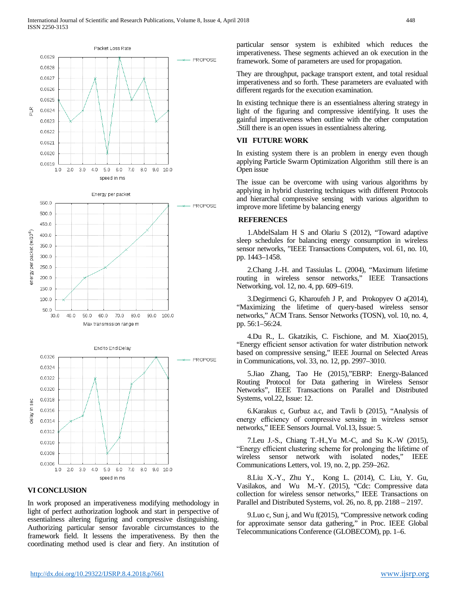

In work proposed an imperativeness modifying methodology in light of perfect authorization logbook and start in perspective of essentialness altering figuring and compressive distinguishing. Authorizing particular sensor favorable circumstances to the framework field. It lessens the imperativeness. By then the coordinating method used is clear and fiery. An institution of

particular sensor system is exhibited which reduces the imperativeness. These segments achieved an ok execution in the framework. Some of parameters are used for propagation.

They are throughput, package transport extent, and total residual imperativeness and so forth. These parameters are evaluated with different regards for the execution examination.

In existing technique there is an essentialness altering strategy in light of the figuring and compressive identifying. It uses the gainful imperativeness when outline with the other computation .Still there is an open issues in essentialness altering.

## **VII FUTURE WORK**

In existing system there is an problem in energy even though applying Particle Swarm Optimization Algorithm still there is an Open issue

The issue can be overcome with using various algorithms by applying in hybrid clustering techniques with different Protocols and hierarchal compressive sensing with various algorithm to improve more lifetime by balancing energy

#### **REFERENCES**

1.AbdelSalam H S and Olariu S (2012), "Toward adaptive sleep schedules for balancing energy consumption in wireless sensor networks, "IEEE Transactions Computers, vol. 61, no. 10, pp. 1443–1458.

2.Chang J.-H. and Tassiulas L. (2004), "Maximum lifetime routing in wireless sensor networks," IEEE Transactions Networking, vol. 12, no. 4, pp. 609–619.

3.Degirmenci G, Kharoufeh J P, and Prokopyev O a(2014), "Maximizing the lifetime of query-based wireless sensor networks," ACM Trans. Sensor Networks (TOSN), vol. 10, no. 4, pp. 56:1–56:24.

4.Du R., L. Gkatzikis, C. Fischione, and M. Xiao(2015), "Energy efficient sensor activation for water distribution network based on compressive sensing," IEEE Journal on Selected Areas in Communications, vol. 33, no. 12, pp. 2997–3010.

5.Jiao Zhang, Tao He (2015),"EBRP: Energy-Balanced Routing Protocol for Data gathering in Wireless Sensor Networks", IEEE Transactions on Parallel and Distributed Systems, vol.22, Issue: 12.

6.Karakus c, Gurbuz a.c, and Tavli b (2015), "Analysis of energy efficiency of compressive sensing in wireless sensor networks," IEEE Sensors Journal. Vol.13, Issue: 5.

7.Leu J.-S., Chiang T.-H.,Yu M.-C, and Su K.-W (2015), "Energy efficient clustering scheme for prolonging the lifetime of wireless sensor network with isolated nodes," IEEE Communications Letters, vol. 19, no. 2, pp. 259–262.

8.Liu X.-Y., Zhu Y., Kong L. (2014), C. Liu, Y. Gu, Vasilakos, and Wu M.-Y. (2015), "Cdc: Compressive data collection for wireless sensor networks," IEEE Transactions on Parallel and Distributed Systems, vol. 26, no. 8, pp. 2188 – 2197.

9.Luo c, Sun j, and Wu f(2015), "Compressive network coding for approximate sensor data gathering," in Proc. IEEE Global Telecommunications Conference (GLOBECOM), pp. 1–6.